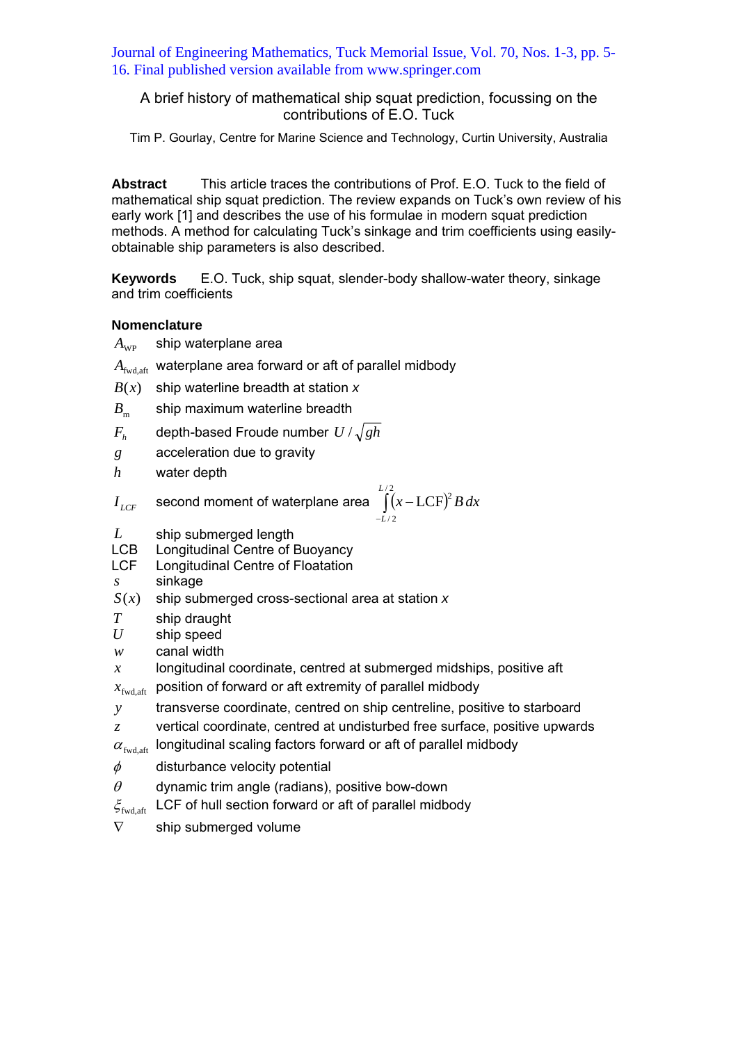Journal of Engineering Mathematics, Tuck Memorial Issue, Vol. 70, Nos. 1-3, pp. 5- 16. Final published version available from www.springer.com

# A brief history of mathematical ship squat prediction, focussing on the contributions of E.O. Tuck

Tim P. Gourlay, Centre for Marine Science and Technology, Curtin University, Australia

**Abstract** This article traces the contributions of Prof. E.O. Tuck to the field of mathematical ship squat prediction. The review expands on Tuck's own review of his early work [1] and describes the use of his formulae in modern squat prediction methods. A method for calculating Tuck's sinkage and trim coefficients using easilyobtainable ship parameters is also described.

**Keywords** E.O. Tuck, ship squat, slender-body shallow-water theory, sinkage and trim coefficients

## **Nomenclature**

- $A_{\text{wp}}$  ship waterplane area
- *A*<sub>fwd aft</sub> waterplane area forward or aft of parallel midbody
- $B(x)$  ship waterline breadth at station x
- $B<sub>m</sub>$  ship maximum waterline breadth
- $F_h$  depth-based Froude number  $U/\sqrt{gh}$
- *g* acceleration due to gravity
- *h* water depth

$$
I_{LCF} \quad \text{second moment of waterplane area} \int_{-L/2}^{L/2} (x - LCF)^2 B dx
$$

- *L* ship submerged length<br>LCB Longitudinal Centre of E
- Longitudinal Centre of Buoyancy
- LCF Longitudinal Centre of Floatation
- *s* sinkage
- *S*(*x*) ship submerged cross-sectional area at station *x*
- *T* ship draught
- *U* ship speed
- *w* canal width
- *x* longitudinal coordinate, centred at submerged midships, positive aft
- $x_{\text{fwd},\text{aff}}$  position of forward or aft extremity of parallel midbody
- *y* transverse coordinate, centred on ship centreline, positive to starboard
- *z* vertical coordinate, centred at undisturbed free surface, positive upwards
- $\alpha_{\text{fwd},\text{aff}}$  longitudinal scaling factors forward or aft of parallel midbody
- $\phi$  disturbance velocity potential
- $\theta$  dynamic trim angle (radians), positive bow-down
- $\zeta_{\text{fwd},\text{aff}}$  LCF of hull section forward or aft of parallel midbody
- $\nabla$  ship submerged volume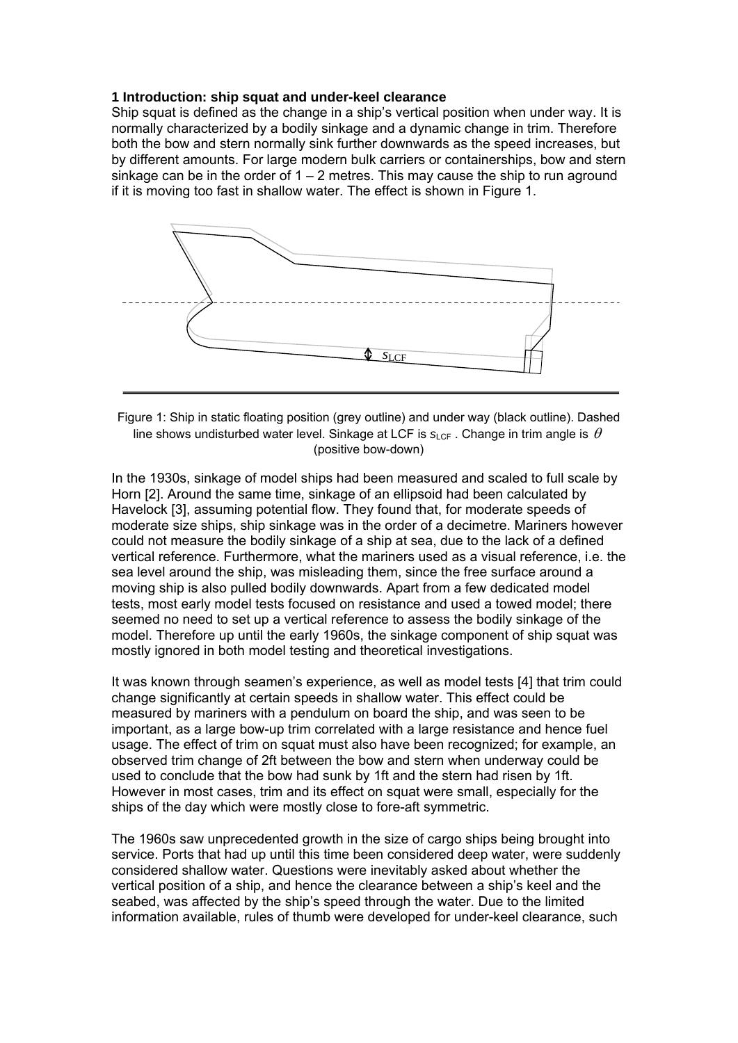### **1 Introduction: ship squat and under-keel clearance**

Ship squat is defined as the change in a ship's vertical position when under way. It is normally characterized by a bodily sinkage and a dynamic change in trim. Therefore both the bow and stern normally sink further downwards as the speed increases, but by different amounts. For large modern bulk carriers or containerships, bow and stern sinkage can be in the order of  $1 - 2$  metres. This may cause the ship to run aground if it is moving too fast in shallow water. The effect is shown in Figure 1.



Figure 1: Ship in static floating position (grey outline) and under way (black outline). Dashed line shows undisturbed water level. Sinkage at LCF is  $s_{\text{CFT}}$ . Change in trim angle is  $\theta$ (positive bow-down)

In the 1930s, sinkage of model ships had been measured and scaled to full scale by Horn [2]. Around the same time, sinkage of an ellipsoid had been calculated by Havelock [3], assuming potential flow. They found that, for moderate speeds of moderate size ships, ship sinkage was in the order of a decimetre. Mariners however could not measure the bodily sinkage of a ship at sea, due to the lack of a defined vertical reference. Furthermore, what the mariners used as a visual reference, i.e. the sea level around the ship, was misleading them, since the free surface around a moving ship is also pulled bodily downwards. Apart from a few dedicated model tests, most early model tests focused on resistance and used a towed model; there seemed no need to set up a vertical reference to assess the bodily sinkage of the model. Therefore up until the early 1960s, the sinkage component of ship squat was mostly ignored in both model testing and theoretical investigations.

It was known through seamen's experience, as well as model tests [4] that trim could change significantly at certain speeds in shallow water. This effect could be measured by mariners with a pendulum on board the ship, and was seen to be important, as a large bow-up trim correlated with a large resistance and hence fuel usage. The effect of trim on squat must also have been recognized; for example, an observed trim change of 2ft between the bow and stern when underway could be used to conclude that the bow had sunk by 1ft and the stern had risen by 1ft. However in most cases, trim and its effect on squat were small, especially for the ships of the day which were mostly close to fore-aft symmetric.

The 1960s saw unprecedented growth in the size of cargo ships being brought into service. Ports that had up until this time been considered deep water, were suddenly considered shallow water. Questions were inevitably asked about whether the vertical position of a ship, and hence the clearance between a ship's keel and the seabed, was affected by the ship's speed through the water. Due to the limited information available, rules of thumb were developed for under-keel clearance, such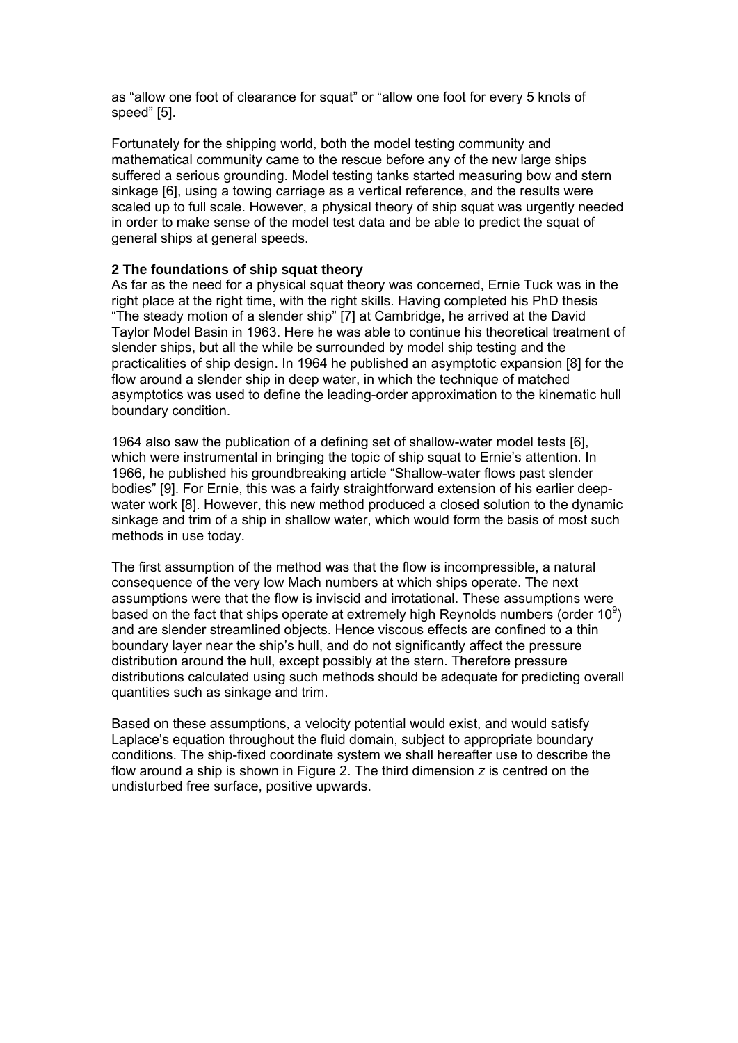as "allow one foot of clearance for squat" or "allow one foot for every 5 knots of speed" [5].

Fortunately for the shipping world, both the model testing community and mathematical community came to the rescue before any of the new large ships suffered a serious grounding. Model testing tanks started measuring bow and stern sinkage [6], using a towing carriage as a vertical reference, and the results were scaled up to full scale. However, a physical theory of ship squat was urgently needed in order to make sense of the model test data and be able to predict the squat of general ships at general speeds.

## **2 The foundations of ship squat theory**

As far as the need for a physical squat theory was concerned, Ernie Tuck was in the right place at the right time, with the right skills. Having completed his PhD thesis "The steady motion of a slender ship" [7] at Cambridge, he arrived at the David Taylor Model Basin in 1963. Here he was able to continue his theoretical treatment of slender ships, but all the while be surrounded by model ship testing and the practicalities of ship design. In 1964 he published an asymptotic expansion [8] for the flow around a slender ship in deep water, in which the technique of matched asymptotics was used to define the leading-order approximation to the kinematic hull boundary condition.

1964 also saw the publication of a defining set of shallow-water model tests [6], which were instrumental in bringing the topic of ship squat to Ernie's attention. In 1966, he published his groundbreaking article "Shallow-water flows past slender bodies" [9]. For Ernie, this was a fairly straightforward extension of his earlier deepwater work [8]. However, this new method produced a closed solution to the dynamic sinkage and trim of a ship in shallow water, which would form the basis of most such methods in use today.

The first assumption of the method was that the flow is incompressible, a natural consequence of the very low Mach numbers at which ships operate. The next assumptions were that the flow is inviscid and irrotational. These assumptions were based on the fact that ships operate at extremely high Reynolds numbers (order 10 $\degree$ ) and are slender streamlined objects. Hence viscous effects are confined to a thin boundary layer near the ship's hull, and do not significantly affect the pressure distribution around the hull, except possibly at the stern. Therefore pressure distributions calculated using such methods should be adequate for predicting overall quantities such as sinkage and trim.

Based on these assumptions, a velocity potential would exist, and would satisfy Laplace's equation throughout the fluid domain, subject to appropriate boundary conditions. The ship-fixed coordinate system we shall hereafter use to describe the flow around a ship is shown in Figure 2. The third dimension *z* is centred on the undisturbed free surface, positive upwards.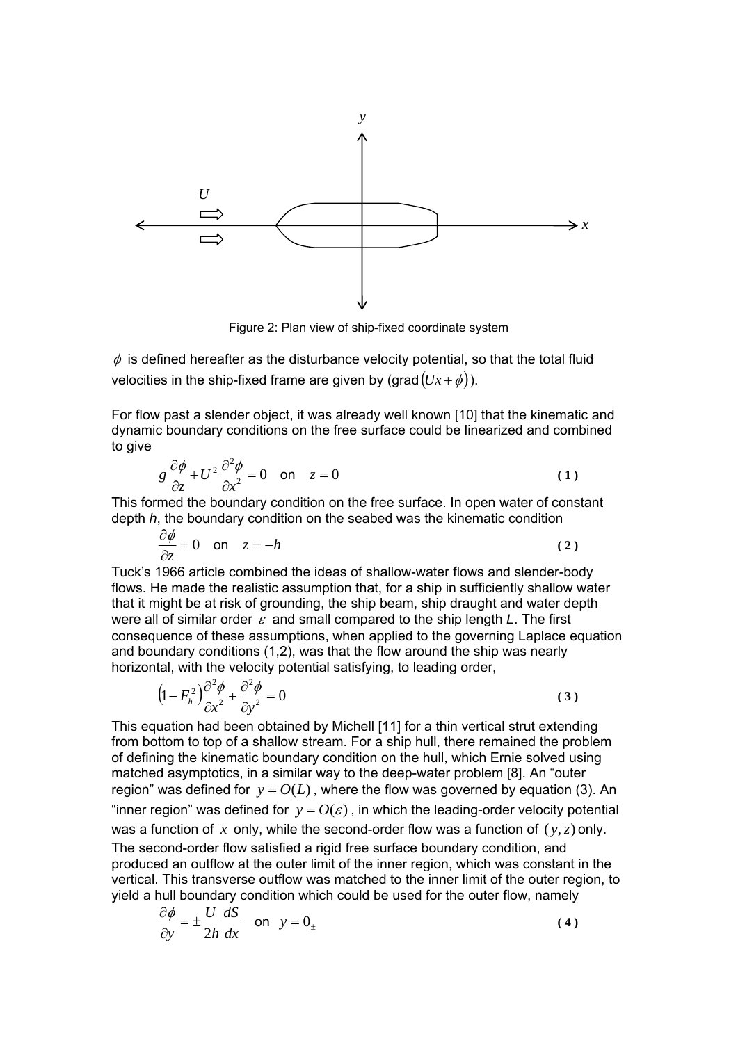

Figure 2: Plan view of ship-fixed coordinate system

 $\phi$  is defined hereafter as the disturbance velocity potential, so that the total fluid velocities in the ship-fixed frame are given by (grad  $(Ux + \phi)$ ).

For flow past a slender object, it was already well known [10] that the kinematic and dynamic boundary conditions on the free surface could be linearized and combined to give

$$
g\frac{\partial\phi}{\partial z} + U^2 \frac{\partial^2\phi}{\partial x^2} = 0 \quad \text{on} \quad z = 0 \tag{1}
$$

This formed the boundary condition on the free surface. In open water of constant depth *h*, the boundary condition on the seabed was the kinematic condition

$$
\frac{\partial \phi}{\partial z} = 0 \quad \text{on} \quad z = -h \tag{2}
$$

Tuck's 1966 article combined the ideas of shallow-water flows and slender-body flows. He made the realistic assumption that, for a ship in sufficiently shallow water that it might be at risk of grounding, the ship beam, ship draught and water depth were all of similar order ε and small compared to the ship length *L*. The first consequence of these assumptions, when applied to the governing Laplace equation and boundary conditions (1,2), was that the flow around the ship was nearly horizontal, with the velocity potential satisfying, to leading order,

$$
\left(1 - F_h^2\right) \frac{\partial^2 \phi}{\partial x^2} + \frac{\partial^2 \phi}{\partial y^2} = 0
$$
\n(3)

This equation had been obtained by Michell [11] for a thin vertical strut extending from bottom to top of a shallow stream. For a ship hull, there remained the problem of defining the kinematic boundary condition on the hull, which Ernie solved using matched asymptotics, in a similar way to the deep-water problem [8]. An "outer region" was defined for  $y = O(L)$ , where the flow was governed by equation (3). An "inner region" was defined for  $y = O(\varepsilon)$ , in which the leading-order velocity potential was a function of  $x$  only, while the second-order flow was a function of  $(y, z)$  only. The second-order flow satisfied a rigid free surface boundary condition, and produced an outflow at the outer limit of the inner region, which was constant in the vertical. This transverse outflow was matched to the inner limit of the outer region, to yield a hull boundary condition which could be used for the outer flow, namely

$$
\frac{\partial \phi}{\partial y} = \pm \frac{U}{2h} \frac{dS}{dx} \quad \text{on} \quad y = 0_{\pm}
$$
 (4)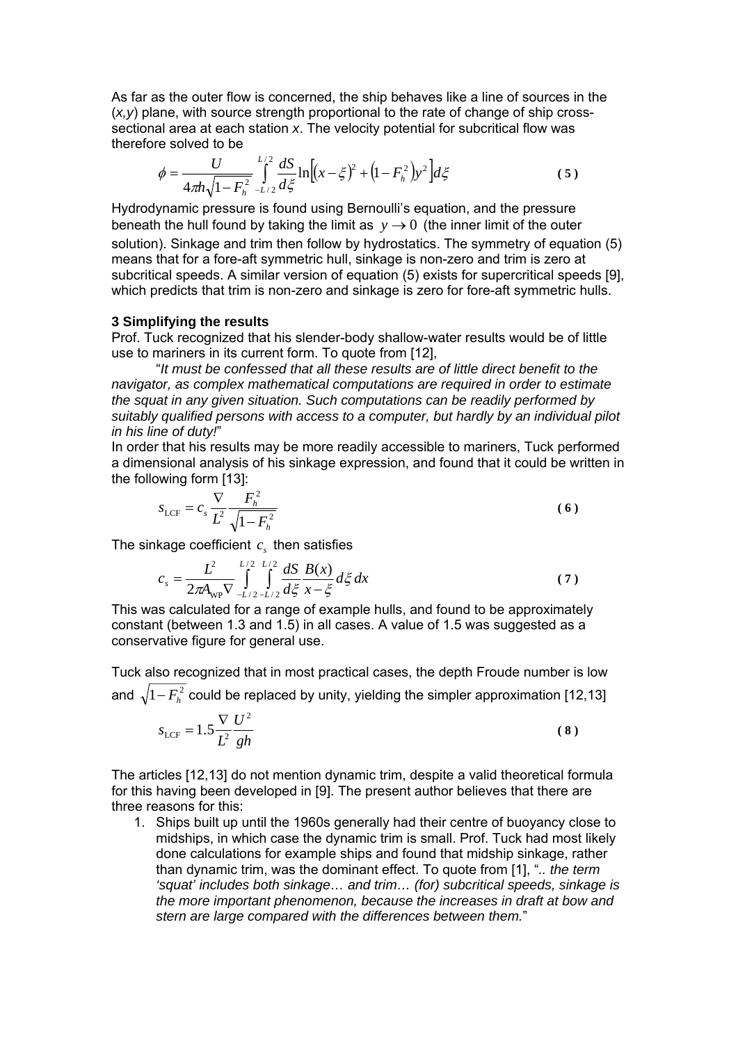As far as the outer flow is concerned, the ship behaves like a line of sources in the (*x,y*) plane, with source strength proportional to the rate of change of ship crosssectional area at each station *x*. The velocity potential for subcritical flow was therefore solved to be

$$
\phi = \frac{U}{4\pi h \sqrt{1 - F_h^2}} \int_{-L/2}^{L/2} \frac{dS}{d\xi} \ln \left[ (x - \xi)^2 + \left( 1 - F_h^2 \right) y^2 \right] d\xi \tag{5}
$$

Hydrodynamic pressure is found using Bernoulli's equation, and the pressure beneath the hull found by taking the limit as  $y \rightarrow 0$  (the inner limit of the outer solution). Sinkage and trim then follow by hydrostatics. The symmetry of equation (5) means that for a fore-aft symmetric hull, sinkage is non-zero and trim is zero at subcritical speeds. A similar version of equation (5) exists for supercritical speeds [9], which predicts that trim is non-zero and sinkage is zero for fore-aft symmetric hulls.

### **3 Simplifying the results**

Prof. Tuck recognized that his slender-body shallow-water results would be of little use to mariners in its current form. To quote from [12],

"*It must be confessed that all these results are of little direct benefit to the navigator, as complex mathematical computations are required in order to estimate the squat in any given situation. Such computations can be readily performed by suitably qualified persons with access to a computer, but hardly by an individual pilot in his line of duty!*"

In order that his results may be more readily accessible to mariners, Tuck performed a dimensional analysis of his sinkage expression, and found that it could be written in the following form [13]:

$$
s_{\text{LCF}} = c_s \frac{\nabla}{L^2} \frac{F_h^2}{\sqrt{1 - F_h^2}}
$$
 (6)

The sinkage coefficient  $c_s$  then satisfies

$$
c_s = \frac{L^2}{2\pi A_{\rm WP} \nabla} \int_{-L/2 - L/2}^{L/2} \frac{dS}{d\xi} \frac{B(x)}{x - \xi} d\xi dx
$$
 (7)

This was calculated for a range of example hulls, and found to be approximately constant (between 1.3 and 1.5) in all cases. A value of 1.5 was suggested as a conservative figure for general use.

Tuck also recognized that in most practical cases, the depth Froude number is low and  $\sqrt{1 - F_h^2}$  could be replaced by unity, yielding the simpler approximation [12,13]

$$
s_{\text{LCF}} = 1.5 \frac{\nabla}{L^2} \frac{U^2}{gh} \tag{8}
$$

The articles [12,13] do not mention dynamic trim, despite a valid theoretical formula for this having been developed in [9]. The present author believes that there are three reasons for this:

1. Ships built up until the 1960s generally had their centre of buoyancy close to midships, in which case the dynamic trim is small. Prof. Tuck had most likely done calculations for example ships and found that midship sinkage, rather than dynamic trim, was the dominant effect. To quote from [1], "*.. the term 'squat' includes both sinkage… and trim… (for) subcritical speeds, sinkage is the more important phenomenon, because the increases in draft at bow and stern are large compared with the differences between them.*"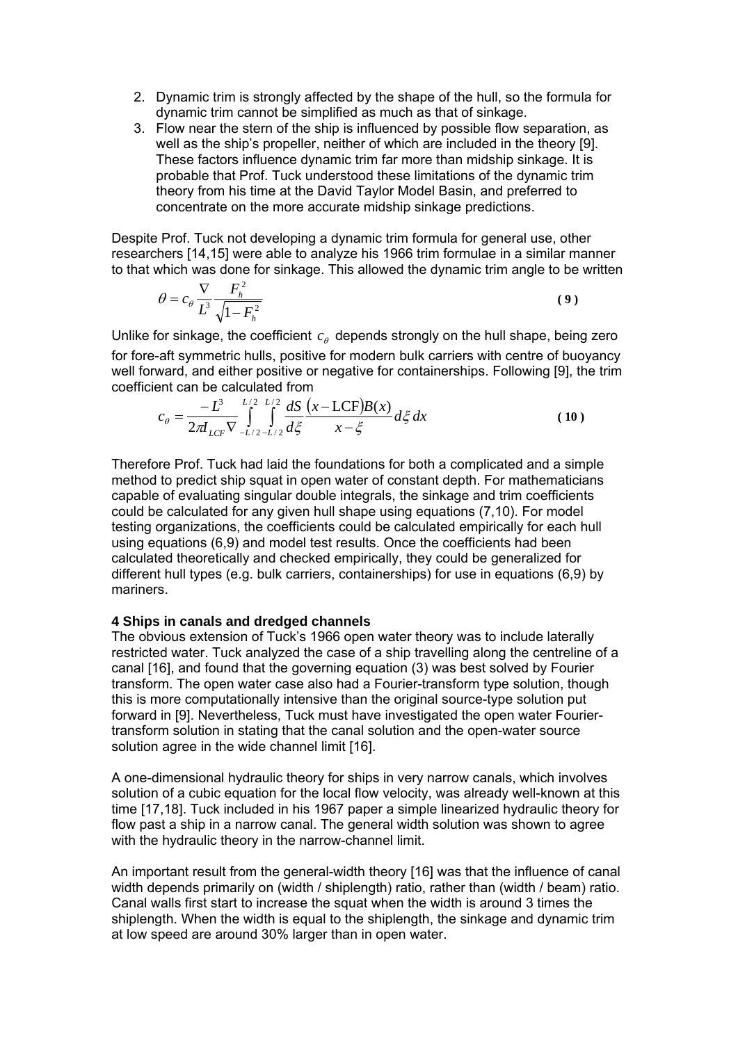- 2. Dynamic trim is strongly affected by the shape of the hull, so the formula for dynamic trim cannot be simplified as much as that of sinkage.
- 3. Flow near the stern of the ship is influenced by possible flow separation, as well as the ship's propeller, neither of which are included in the theory [9]. These factors influence dynamic trim far more than midship sinkage. It is probable that Prof. Tuck understood these limitations of the dynamic trim theory from his time at the David Taylor Model Basin, and preferred to concentrate on the more accurate midship sinkage predictions.

Despite Prof. Tuck not developing a dynamic trim formula for general use, other researchers [14,15] were able to analyze his 1966 trim formulae in a similar manner to that which was done for sinkage. This allowed the dynamic trim angle to be written

$$
\theta = c_{\theta} \frac{\nabla}{L^3} \frac{F_h^2}{\sqrt{1 - F_h^2}}
$$
\n(9)

Unlike for sinkage, the coefficient  $c_{\theta}$  depends strongly on the hull shape, being zero for fore-aft symmetric hulls, positive for modern bulk carriers with centre of buoyancy well forward, and either positive or negative for containerships. Following [9], the trim coefficient can be calculated from

$$
c_{\theta} = \frac{-L^3}{2\pi I_{LCF}} \int_{-L/2}^{L/2} \int_{-L/2}^{L/2} \frac{dS}{d\xi} \frac{(x - LCF)B(x)}{x - \xi} d\xi dx
$$
 (10)

Therefore Prof. Tuck had laid the foundations for both a complicated and a simple method to predict ship squat in open water of constant depth. For mathematicians capable of evaluating singular double integrals, the sinkage and trim coefficients could be calculated for any given hull shape using equations (7,10). For model testing organizations, the coefficients could be calculated empirically for each hull using equations (6,9) and model test results. Once the coefficients had been calculated theoretically and checked empirically, they could be generalized for different hull types (e.g. bulk carriers, containerships) for use in equations (6,9) by mariners.

### **4 Ships in canals and dredged channels**

The obvious extension of Tuck's 1966 open water theory was to include laterally restricted water. Tuck analyzed the case of a ship travelling along the centreline of a canal [16], and found that the governing equation (3) was best solved by Fourier transform. The open water case also had a Fourier-transform type solution, though this is more computationally intensive than the original source-type solution put forward in [9]. Nevertheless, Tuck must have investigated the open water Fouriertransform solution in stating that the canal solution and the open-water source solution agree in the wide channel limit [16].

A one-dimensional hydraulic theory for ships in very narrow canals, which involves solution of a cubic equation for the local flow velocity, was already well-known at this time [17,18]. Tuck included in his 1967 paper a simple linearized hydraulic theory for flow past a ship in a narrow canal. The general width solution was shown to agree with the hydraulic theory in the narrow-channel limit.

An important result from the general-width theory [16] was that the influence of canal width depends primarily on (width / shiplength) ratio, rather than (width / beam) ratio. Canal walls first start to increase the squat when the width is around 3 times the shiplength. When the width is equal to the shiplength, the sinkage and dynamic trim at low speed are around 30% larger than in open water.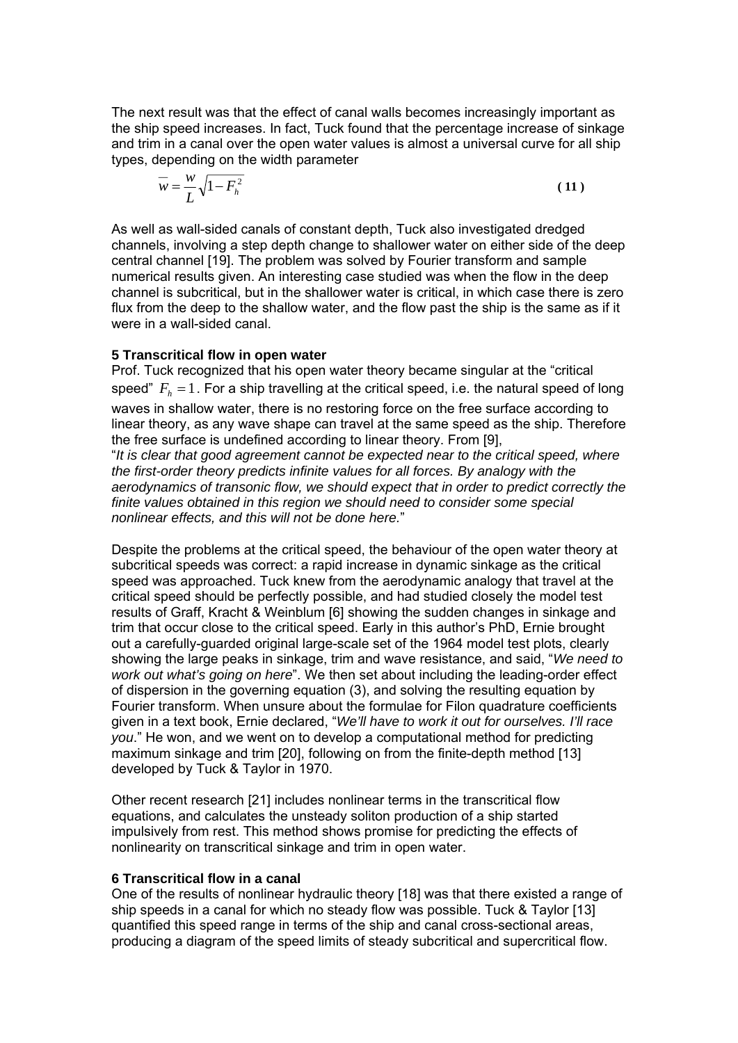The next result was that the effect of canal walls becomes increasingly important as the ship speed increases. In fact, Tuck found that the percentage increase of sinkage and trim in a canal over the open water values is almost a universal curve for all ship types, depending on the width parameter

$$
\overline{w} = \frac{w}{L} \sqrt{1 - F_h^2} \tag{11}
$$

As well as wall-sided canals of constant depth, Tuck also investigated dredged channels, involving a step depth change to shallower water on either side of the deep central channel [19]. The problem was solved by Fourier transform and sample numerical results given. An interesting case studied was when the flow in the deep channel is subcritical, but in the shallower water is critical, in which case there is zero flux from the deep to the shallow water, and the flow past the ship is the same as if it were in a wall-sided canal.

### **5 Transcritical flow in open water**

*nonlinear effects, and this will not be done here.*"

Prof. Tuck recognized that his open water theory became singular at the "critical speed"  $F<sub>b</sub> = 1$ . For a ship travelling at the critical speed, i.e. the natural speed of long waves in shallow water, there is no restoring force on the free surface according to linear theory, as any wave shape can travel at the same speed as the ship. Therefore the free surface is undefined according to linear theory. From [9], "*It is clear that good agreement cannot be expected near to the critical speed, where the first-order theory predicts infinite values for all forces. By analogy with the aerodynamics of transonic flow, we should expect that in order to predict correctly the finite values obtained in this region we should need to consider some special* 

Despite the problems at the critical speed, the behaviour of the open water theory at subcritical speeds was correct: a rapid increase in dynamic sinkage as the critical speed was approached. Tuck knew from the aerodynamic analogy that travel at the critical speed should be perfectly possible, and had studied closely the model test results of Graff, Kracht & Weinblum [6] showing the sudden changes in sinkage and trim that occur close to the critical speed. Early in this author's PhD, Ernie brought out a carefully-guarded original large-scale set of the 1964 model test plots, clearly showing the large peaks in sinkage, trim and wave resistance, and said, "*We need to work out what's going on here*". We then set about including the leading-order effect of dispersion in the governing equation (3), and solving the resulting equation by Fourier transform. When unsure about the formulae for Filon quadrature coefficients given in a text book, Ernie declared, "*We'll have to work it out for ourselves. I'll race you*." He won, and we went on to develop a computational method for predicting maximum sinkage and trim [20], following on from the finite-depth method [13] developed by Tuck & Taylor in 1970.

Other recent research [21] includes nonlinear terms in the transcritical flow equations, and calculates the unsteady soliton production of a ship started impulsively from rest. This method shows promise for predicting the effects of nonlinearity on transcritical sinkage and trim in open water.

### **6 Transcritical flow in a canal**

One of the results of nonlinear hydraulic theory [18] was that there existed a range of ship speeds in a canal for which no steady flow was possible. Tuck & Taylor [13] quantified this speed range in terms of the ship and canal cross-sectional areas, producing a diagram of the speed limits of steady subcritical and supercritical flow.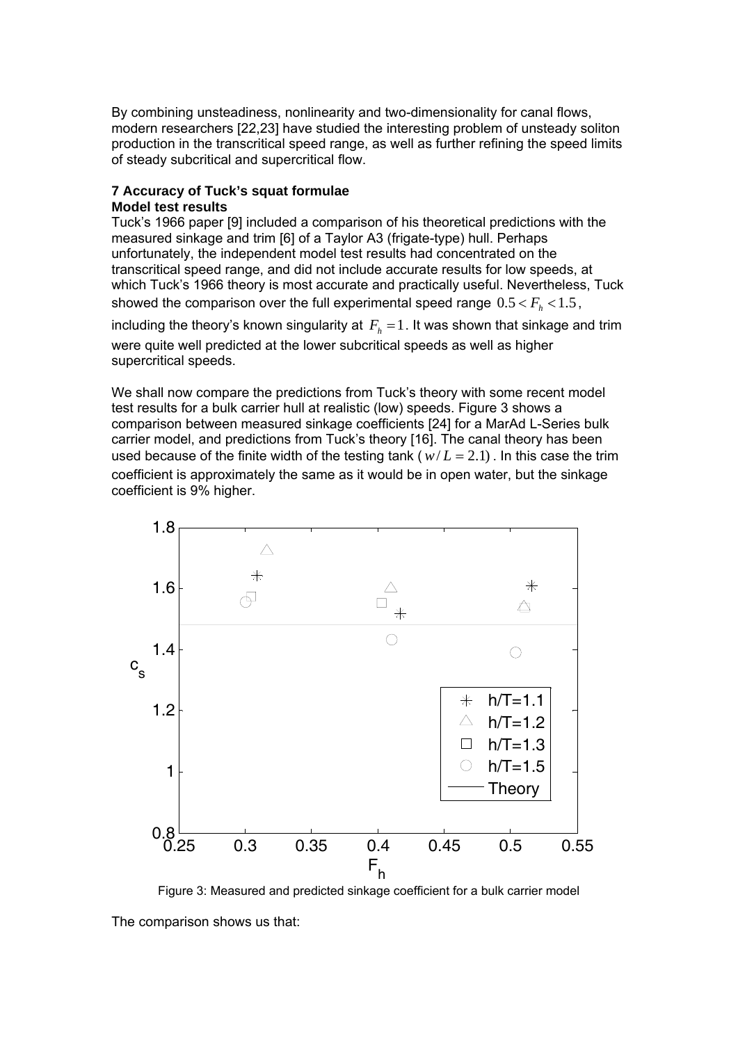By combining unsteadiness, nonlinearity and two-dimensionality for canal flows, modern researchers [22,23] have studied the interesting problem of unsteady soliton production in the transcritical speed range, as well as further refining the speed limits of steady subcritical and supercritical flow.

### **7 Accuracy of Tuck's squat formulae Model test results**

Tuck's 1966 paper [9] included a comparison of his theoretical predictions with the measured sinkage and trim [6] of a Taylor A3 (frigate-type) hull. Perhaps unfortunately, the independent model test results had concentrated on the transcritical speed range, and did not include accurate results for low speeds, at which Tuck's 1966 theory is most accurate and practically useful. Nevertheless, Tuck showed the comparison over the full experimental speed range  $0.5 < F_h < 1.5$ ,

including the theory's known singularity at  $F<sub>h</sub> = 1$ . It was shown that sinkage and trim were quite well predicted at the lower subcritical speeds as well as higher supercritical speeds.

We shall now compare the predictions from Tuck's theory with some recent model test results for a bulk carrier hull at realistic (low) speeds. Figure 3 shows a comparison between measured sinkage coefficients [24] for a MarAd L-Series bulk carrier model, and predictions from Tuck's theory [16]. The canal theory has been used because of the finite width of the testing tank ( $w/L = 2.1$ ). In this case the trim coefficient is approximately the same as it would be in open water, but the sinkage coefficient is 9% higher.



Figure 3: Measured and predicted sinkage coefficient for a bulk carrier model

The comparison shows us that: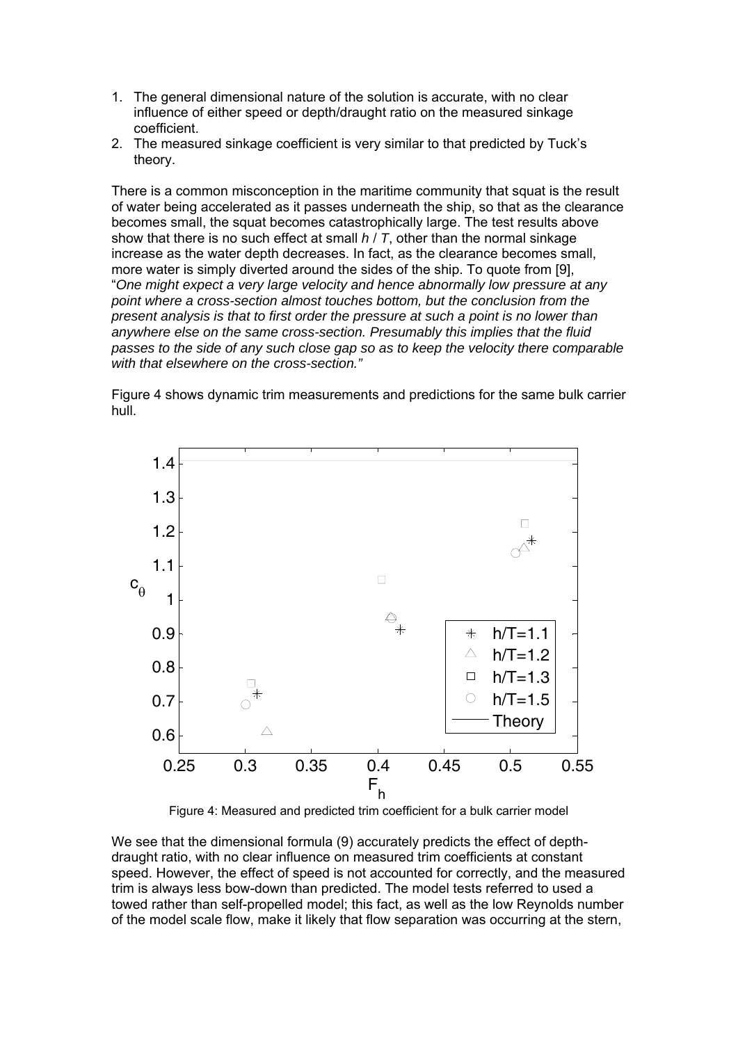- 1. The general dimensional nature of the solution is accurate, with no clear influence of either speed or depth/draught ratio on the measured sinkage coefficient.
- 2. The measured sinkage coefficient is very similar to that predicted by Tuck's theory.

There is a common misconception in the maritime community that squat is the result of water being accelerated as it passes underneath the ship, so that as the clearance becomes small, the squat becomes catastrophically large. The test results above show that there is no such effect at small *h* / *T*, other than the normal sinkage increase as the water depth decreases. In fact, as the clearance becomes small, more water is simply diverted around the sides of the ship. To quote from [9], "*One might expect a very large velocity and hence abnormally low pressure at any point where a cross-section almost touches bottom, but the conclusion from the present analysis is that to first order the pressure at such a point is no lower than anywhere else on the same cross-section. Presumably this implies that the fluid passes to the side of any such close gap so as to keep the velocity there comparable with that elsewhere on the cross-section."* 

Figure 4 shows dynamic trim measurements and predictions for the same bulk carrier hull.



Figure 4: Measured and predicted trim coefficient for a bulk carrier model

We see that the dimensional formula (9) accurately predicts the effect of depthdraught ratio, with no clear influence on measured trim coefficients at constant speed. However, the effect of speed is not accounted for correctly, and the measured trim is always less bow-down than predicted. The model tests referred to used a towed rather than self-propelled model; this fact, as well as the low Reynolds number of the model scale flow, make it likely that flow separation was occurring at the stern,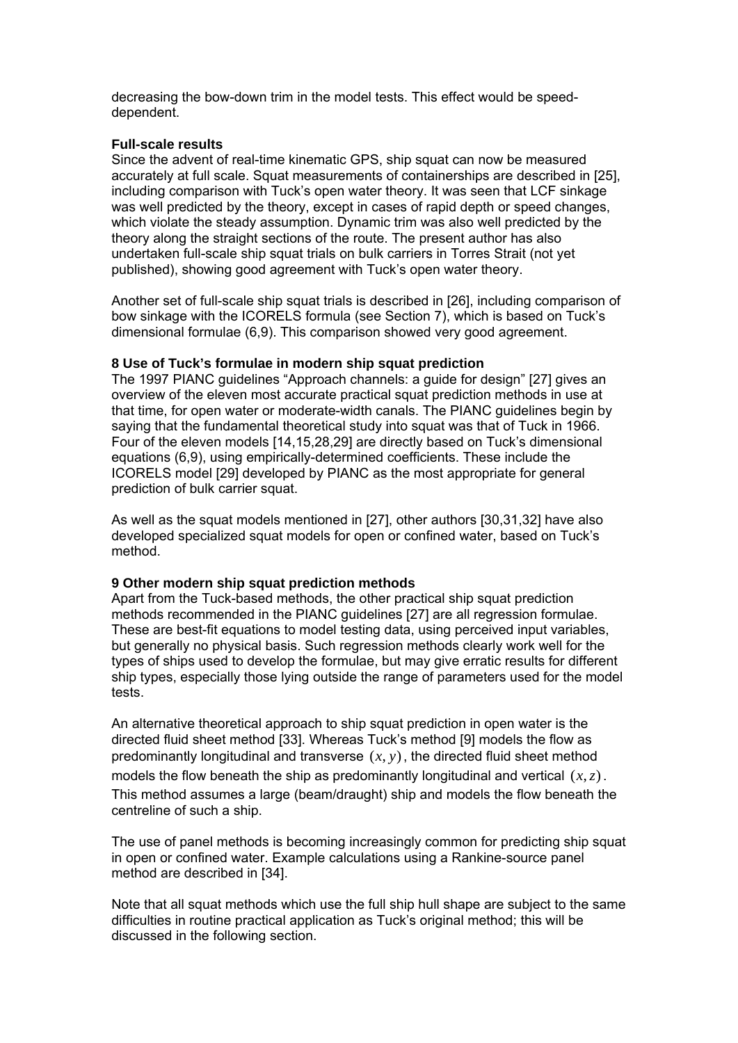decreasing the bow-down trim in the model tests. This effect would be speeddependent.

## **Full-scale results**

Since the advent of real-time kinematic GPS, ship squat can now be measured accurately at full scale. Squat measurements of containerships are described in [25], including comparison with Tuck's open water theory. It was seen that LCF sinkage was well predicted by the theory, except in cases of rapid depth or speed changes, which violate the steady assumption. Dynamic trim was also well predicted by the theory along the straight sections of the route. The present author has also undertaken full-scale ship squat trials on bulk carriers in Torres Strait (not yet published), showing good agreement with Tuck's open water theory.

Another set of full-scale ship squat trials is described in [26], including comparison of bow sinkage with the ICORELS formula (see Section 7), which is based on Tuck's dimensional formulae (6,9). This comparison showed very good agreement.

## **8 Use of Tuck's formulae in modern ship squat prediction**

The 1997 PIANC guidelines "Approach channels: a guide for design" [27] gives an overview of the eleven most accurate practical squat prediction methods in use at that time, for open water or moderate-width canals. The PIANC guidelines begin by saying that the fundamental theoretical study into squat was that of Tuck in 1966. Four of the eleven models [14,15,28,29] are directly based on Tuck's dimensional equations (6,9), using empirically-determined coefficients. These include the ICORELS model [29] developed by PIANC as the most appropriate for general prediction of bulk carrier squat.

As well as the squat models mentioned in [27], other authors [30,31,32] have also developed specialized squat models for open or confined water, based on Tuck's method.

### **9 Other modern ship squat prediction methods**

Apart from the Tuck-based methods, the other practical ship squat prediction methods recommended in the PIANC guidelines [27] are all regression formulae. These are best-fit equations to model testing data, using perceived input variables, but generally no physical basis. Such regression methods clearly work well for the types of ships used to develop the formulae, but may give erratic results for different ship types, especially those lying outside the range of parameters used for the model tests.

An alternative theoretical approach to ship squat prediction in open water is the directed fluid sheet method [33]. Whereas Tuck's method [9] models the flow as predominantly longitudinal and transverse  $(x, y)$ , the directed fluid sheet method

models the flow beneath the ship as predominantly longitudinal and vertical (*x*,*z*). This method assumes a large (beam/draught) ship and models the flow beneath the centreline of such a ship.

The use of panel methods is becoming increasingly common for predicting ship squat in open or confined water. Example calculations using a Rankine-source panel method are described in [34].

Note that all squat methods which use the full ship hull shape are subject to the same difficulties in routine practical application as Tuck's original method; this will be discussed in the following section.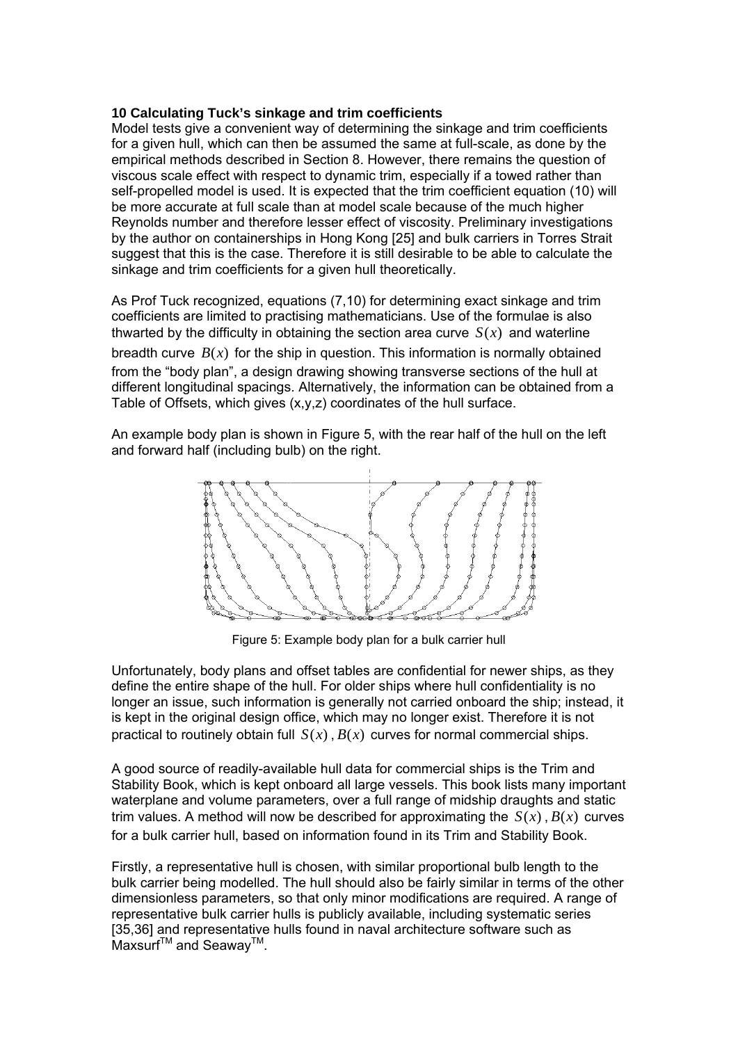## **10 Calculating Tuck's sinkage and trim coefficients**

Model tests give a convenient way of determining the sinkage and trim coefficients for a given hull, which can then be assumed the same at full-scale, as done by the empirical methods described in Section 8. However, there remains the question of viscous scale effect with respect to dynamic trim, especially if a towed rather than self-propelled model is used. It is expected that the trim coefficient equation (10) will be more accurate at full scale than at model scale because of the much higher Reynolds number and therefore lesser effect of viscosity. Preliminary investigations by the author on containerships in Hong Kong [25] and bulk carriers in Torres Strait suggest that this is the case. Therefore it is still desirable to be able to calculate the sinkage and trim coefficients for a given hull theoretically.

As Prof Tuck recognized, equations (7,10) for determining exact sinkage and trim coefficients are limited to practising mathematicians. Use of the formulae is also thwarted by the difficulty in obtaining the section area curve  $S(x)$  and waterline breadth curve  $B(x)$  for the ship in question. This information is normally obtained from the "body plan", a design drawing showing transverse sections of the hull at different longitudinal spacings. Alternatively, the information can be obtained from a Table of Offsets, which gives (x,y,z) coordinates of the hull surface.

An example body plan is shown in Figure 5, with the rear half of the hull on the left and forward half (including bulb) on the right.



Figure 5: Example body plan for a bulk carrier hull

Unfortunately, body plans and offset tables are confidential for newer ships, as they define the entire shape of the hull. For older ships where hull confidentiality is no longer an issue, such information is generally not carried onboard the ship; instead, it is kept in the original design office, which may no longer exist. Therefore it is not practical to routinely obtain full  $S(x)$ ,  $B(x)$  curves for normal commercial ships.

A good source of readily-available hull data for commercial ships is the Trim and Stability Book, which is kept onboard all large vessels. This book lists many important waterplane and volume parameters, over a full range of midship draughts and static trim values. A method will now be described for approximating the  $S(x)$ ,  $B(x)$  curves for a bulk carrier hull, based on information found in its Trim and Stability Book.

Firstly, a representative hull is chosen, with similar proportional bulb length to the bulk carrier being modelled. The hull should also be fairly similar in terms of the other dimensionless parameters, so that only minor modifications are required. A range of representative bulk carrier hulls is publicly available, including systematic series [35,36] and representative hulls found in naval architecture software such as Maxsurf<sup>™</sup> and Seawav<sup>™</sup>.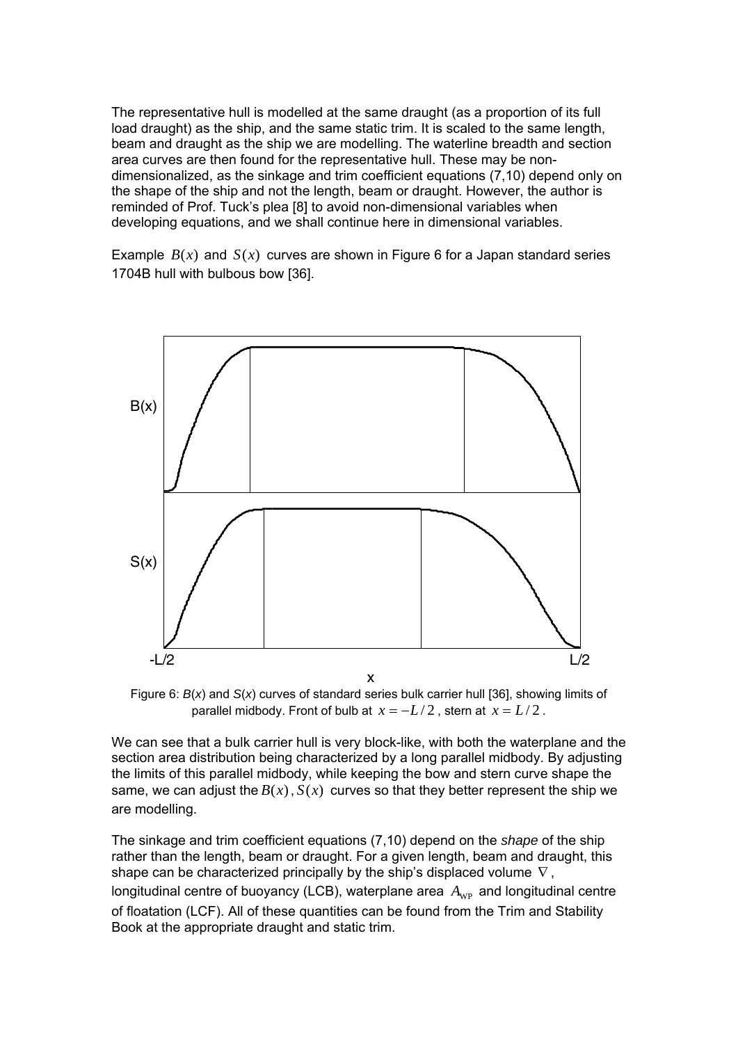The representative hull is modelled at the same draught (as a proportion of its full load draught) as the ship, and the same static trim. It is scaled to the same length, beam and draught as the ship we are modelling. The waterline breadth and section area curves are then found for the representative hull. These may be nondimensionalized, as the sinkage and trim coefficient equations (7,10) depend only on the shape of the ship and not the length, beam or draught. However, the author is reminded of Prof. Tuck's plea [8] to avoid non-dimensional variables when developing equations, and we shall continue here in dimensional variables.

Example  $B(x)$  and  $S(x)$  curves are shown in Figure 6 for a Japan standard series 1704B hull with bulbous bow [36].



Figure 6: *B*(*x*) and *S*(*x*) curves of standard series bulk carrier hull [36], showing limits of parallel midbody. Front of bulb at  $x = -L/2$ , stern at  $x = L/2$ .

We can see that a bulk carrier hull is very block-like, with both the waterplane and the section area distribution being characterized by a long parallel midbody. By adjusting the limits of this parallel midbody, while keeping the bow and stern curve shape the same, we can adjust the  $B(x)$ ,  $S(x)$  curves so that they better represent the ship we are modelling.

The sinkage and trim coefficient equations (7,10) depend on the *shape* of the ship rather than the length, beam or draught. For a given length, beam and draught, this shape can be characterized principally by the ship's displaced volume  $\nabla$ , longitudinal centre of buoyancy (LCB), waterplane area  $A_{WP}$  and longitudinal centre of floatation (LCF). All of these quantities can be found from the Trim and Stability Book at the appropriate draught and static trim.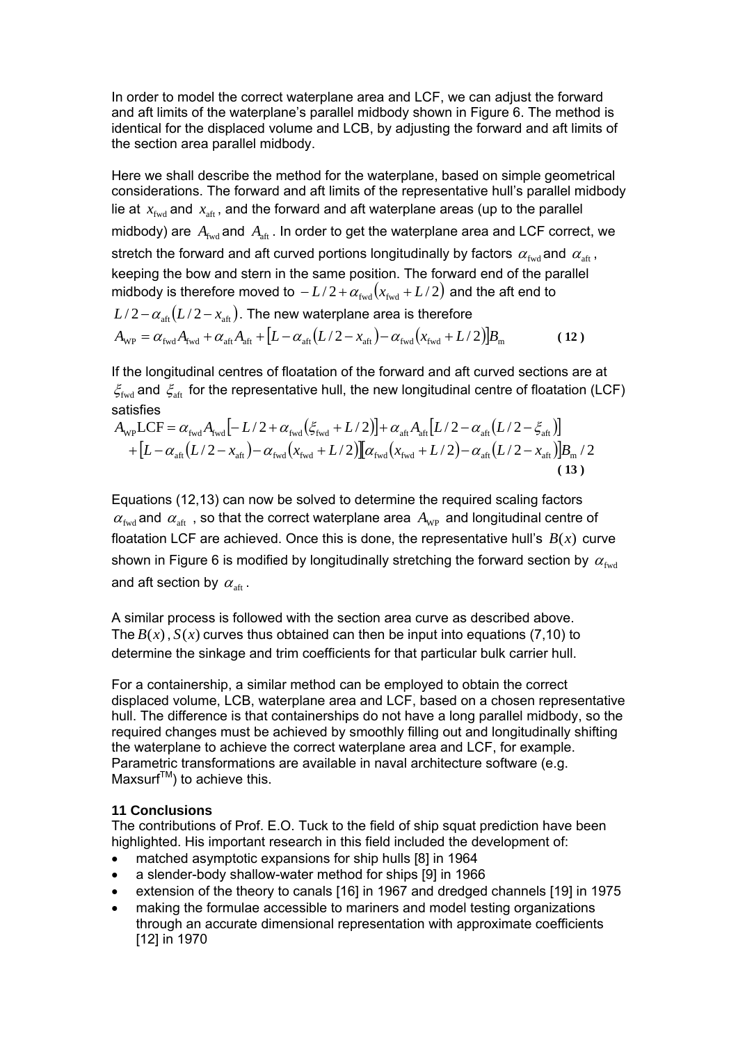In order to model the correct waterplane area and LCF, we can adjust the forward and aft limits of the waterplane's parallel midbody shown in Figure 6. The method is identical for the displaced volume and LCB, by adjusting the forward and aft limits of the section area parallel midbody.

Here we shall describe the method for the waterplane, based on simple geometrical considerations. The forward and aft limits of the representative hull's parallel midbody lie at  $x_{\text{fwd}}$  and  $x_{\text{aff}}$ , and the forward and aft waterplane areas (up to the parallel midbody) are  $A_{\text{fwd}}$  and  $A_{\text{aff}}$ . In order to get the waterplane area and LCF correct, we stretch the forward and aft curved portions longitudinally by factors  $\alpha_{\text{fwd}}$  and  $\alpha_{\text{aft}}$ , keeping the bow and stern in the same position. The forward end of the parallel midbody is therefore moved to  $-L/2 + \alpha_{\text{fwd}} ( x_{\text{fwd}} + L/2 )$  and the aft end to  $L/2 - \alpha_{\text{aff}}(L/2 - x_{\text{aff}})$ . The new waterplane area is therefore  $A_{\text{wp}} = \alpha_{\text{fwd}} A_{\text{fwd}} + \alpha_{\text{aft}} A_{\text{aft}} + [L - \alpha_{\text{aft}} (L/2 - x_{\text{aft}}) - \alpha_{\text{fwd}} (x_{\text{fwd}} + L/2)]B_{\text{m}}$  (12)

If the longitudinal centres of floatation of the forward and aft curved sections are at  $\zeta_{\text{fwd}}$  and  $\zeta_{\text{aft}}$  for the representative hull, the new longitudinal centre of floatation (LCF) satisfies

$$
A_{\rm WP} LCF = \alpha_{\rm fwd} A_{\rm fwd} [-L/2 + \alpha_{\rm fwd} (\xi_{\rm fwd} + L/2)] + \alpha_{\rm aff} A_{\rm aff} [L/2 - \alpha_{\rm aff} (L/2 - \xi_{\rm aff})] + [L - \alpha_{\rm aff} (L/2 - x_{\rm aff}) - \alpha_{\rm fwd} (x_{\rm fwd} + L/2)][\alpha_{\rm fwd} (x_{\rm fwd} + L/2) - \alpha_{\rm aff} (L/2 - x_{\rm aff})]B_{\rm m}/2
$$
\n(13)

Equations (12,13) can now be solved to determine the required scaling factors  $\alpha_{\text{fwd}}$  and  $\alpha_{\text{aft}}$ , so that the correct waterplane area  $A_{\text{WP}}$  and longitudinal centre of floatation LCF are achieved. Once this is done, the representative hull's  $B(x)$  curve shown in Figure 6 is modified by longitudinally stretching the forward section by  $\alpha_{\text{fwd}}$ and aft section by  $\alpha_{\text{aft}}$ .

A similar process is followed with the section area curve as described above. The  $B(x)$ ,  $S(x)$  curves thus obtained can then be input into equations (7,10) to determine the sinkage and trim coefficients for that particular bulk carrier hull.

For a containership, a similar method can be employed to obtain the correct displaced volume, LCB, waterplane area and LCF, based on a chosen representative hull. The difference is that containerships do not have a long parallel midbody, so the required changes must be achieved by smoothly filling out and longitudinally shifting the waterplane to achieve the correct waterplane area and LCF, for example. Parametric transformations are available in naval architecture software (e.g.  $Maxsurf<sup>TM</sup>$  to achieve this.

## **11 Conclusions**

The contributions of Prof. E.O. Tuck to the field of ship squat prediction have been highlighted. His important research in this field included the development of:

- matched asymptotic expansions for ship hulls [8] in 1964
- a slender-body shallow-water method for ships [9] in 1966
- extension of the theory to canals [16] in 1967 and dredged channels [19] in 1975
- making the formulae accessible to mariners and model testing organizations through an accurate dimensional representation with approximate coefficients [12] in 1970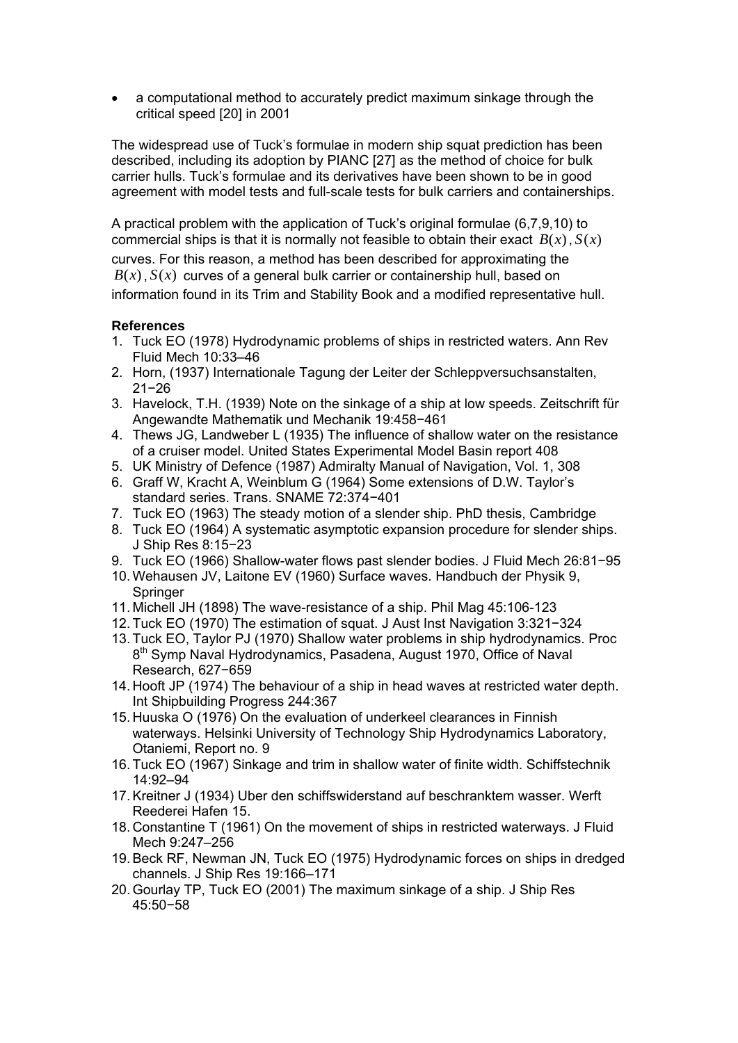• a computational method to accurately predict maximum sinkage through the critical speed [20] in 2001

The widespread use of Tuck's formulae in modern ship squat prediction has been described, including its adoption by PIANC [27] as the method of choice for bulk carrier hulls. Tuck's formulae and its derivatives have been shown to be in good agreement with model tests and full-scale tests for bulk carriers and containerships.

A practical problem with the application of Tuck's original formulae (6,7,9,10) to commercial ships is that it is normally not feasible to obtain their exact *B*(*x*), *S*(*x*) curves. For this reason, a method has been described for approximating the  $B(x)$ ,  $S(x)$  curves of a general bulk carrier or containership hull, based on information found in its Trim and Stability Book and a modified representative hull.

## **References**

- 1. Tuck EO (1978) Hydrodynamic problems of ships in restricted waters. Ann Rev Fluid Mech 10:33–46
- 2. Horn, (1937) Internationale Tagung der Leiter der Schleppversuchsanstalten, 21−26
- 3. Havelock, T.H. (1939) Note on the sinkage of a ship at low speeds. Zeitschrift für Angewandte Mathematik und Mechanik 19:458−461
- 4. Thews JG, Landweber L (1935) The influence of shallow water on the resistance of a cruiser model. United States Experimental Model Basin report 408
- 5. UK Ministry of Defence (1987) Admiralty Manual of Navigation, Vol. 1, 308
- 6. Graff W, Kracht A, Weinblum G (1964) Some extensions of D.W. Taylor's standard series. Trans. SNAME 72:374−401
- 7. Tuck EO (1963) The steady motion of a slender ship. PhD thesis, Cambridge
- 8. Tuck EO (1964) A systematic asymptotic expansion procedure for slender ships. J Ship Res 8:15−23
- 9. Tuck EO (1966) Shallow-water flows past slender bodies. J Fluid Mech 26:81−95
- 10. Wehausen JV, Laitone EV (1960) Surface waves. Handbuch der Physik 9, **Springer**
- 11. Michell JH (1898) The wave-resistance of a ship. Phil Mag 45:106-123
- 12. Tuck EO (1970) The estimation of squat. J Aust Inst Navigation 3:321−324
- 13. Tuck EO, Taylor PJ (1970) Shallow water problems in ship hydrodynamics. Proc 8<sup>th</sup> Symp Naval Hydrodynamics, Pasadena, August 1970, Office of Naval Research, 627−659
- 14. Hooft JP (1974) The behaviour of a ship in head waves at restricted water depth. Int Shipbuilding Progress 244:367
- 15. Huuska O (1976) On the evaluation of underkeel clearances in Finnish waterways. Helsinki University of Technology Ship Hydrodynamics Laboratory, Otaniemi, Report no. 9
- 16. Tuck EO (1967) Sinkage and trim in shallow water of finite width. Schiffstechnik 14:92–94
- 17. Kreitner J (1934) Uber den schiffswiderstand auf beschranktem wasser. Werft Reederei Hafen 15.
- 18. Constantine T (1961) On the movement of ships in restricted waterways. J Fluid Mech 9:247–256
- 19. Beck RF, Newman JN, Tuck EO (1975) Hydrodynamic forces on ships in dredged channels. J Ship Res 19:166–171
- 20. Gourlay TP, Tuck EO (2001) The maximum sinkage of a ship. J Ship Res 45:50−58